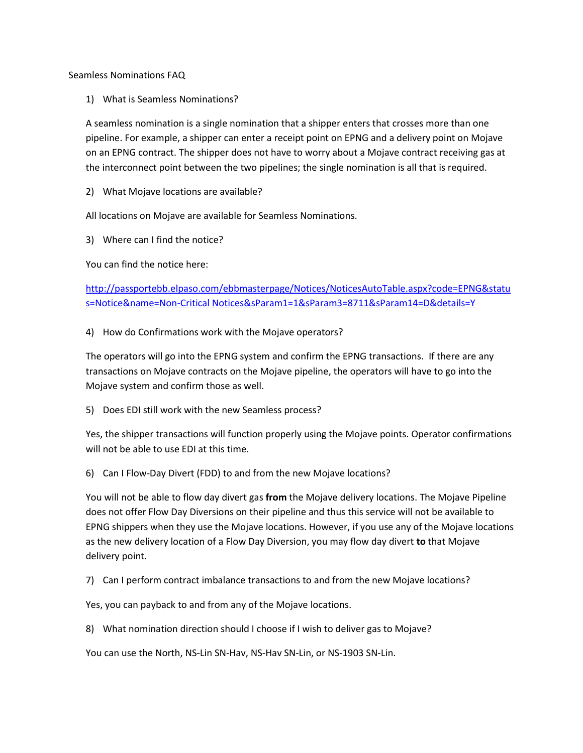Seamless Nominations FAQ

1) What is Seamless Nominations?

A seamless nomination is a single nomination that a shipper enters that crosses more than one pipeline. For example, a shipper can enter a receipt point on EPNG and a delivery point on Mojave on an EPNG contract. The shipper does not have to worry about a Mojave contract receiving gas at the interconnect point between the two pipelines; the single nomination is all that is required.

2) What Mojave locations are available?

All locations on Mojave are available for Seamless Nominations.

3) Where can I find the notice?

You can find the notice here:

[http://passportebb.elpaso.com/ebbmasterpage/Notices/NoticesAutoTable.aspx?code=EPNG&statu](http://passportebb.elpaso.com/ebbmasterpage/Notices/NoticesAutoTable.aspx?code=EPNG&status=Notice&name=Non-Critical%20Notices&sParam1=1&sParam3=8711&sParam14=D&details=Y) [s=Notice&name=Non-Critical Notices&sParam1=1&sParam3=8711&sParam14=D&details=Y](http://passportebb.elpaso.com/ebbmasterpage/Notices/NoticesAutoTable.aspx?code=EPNG&status=Notice&name=Non-Critical%20Notices&sParam1=1&sParam3=8711&sParam14=D&details=Y)

4) How do Confirmations work with the Mojave operators?

The operators will go into the EPNG system and confirm the EPNG transactions. If there are any transactions on Mojave contracts on the Mojave pipeline, the operators will have to go into the Mojave system and confirm those as well.

5) Does EDI still work with the new Seamless process?

Yes, the shipper transactions will function properly using the Mojave points. Operator confirmations will not be able to use EDI at this time.

6) Can I Flow-Day Divert (FDD) to and from the new Mojave locations?

You will not be able to flow day divert gas **from** the Mojave delivery locations. The Mojave Pipeline does not offer Flow Day Diversions on their pipeline and thus this service will not be available to EPNG shippers when they use the Mojave locations. However, if you use any of the Mojave locations as the new delivery location of a Flow Day Diversion, you may flow day divert **to** that Mojave delivery point.

7) Can I perform contract imbalance transactions to and from the new Mojave locations?

Yes, you can payback to and from any of the Mojave locations.

8) What nomination direction should I choose if I wish to deliver gas to Mojave?

You can use the North, NS-Lin SN-Hav, NS-Hav SN-Lin, or NS-1903 SN-Lin.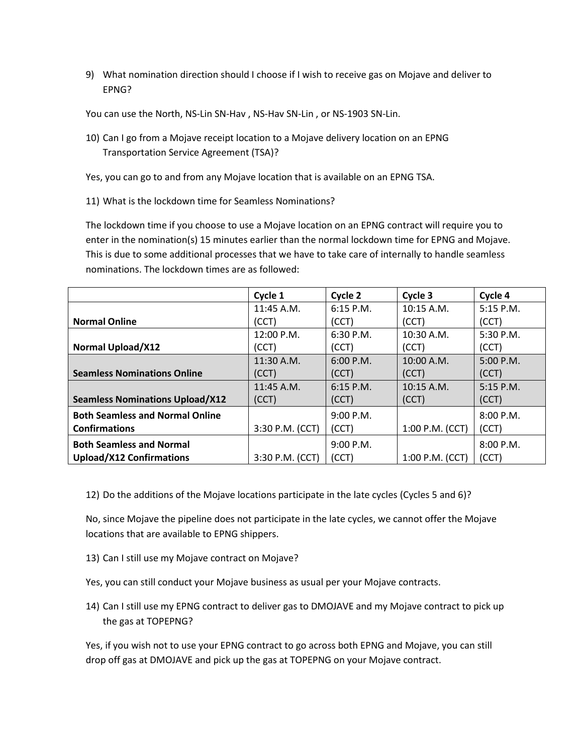9) What nomination direction should I choose if I wish to receive gas on Mojave and deliver to EPNG?

You can use the North, NS-Lin SN-Hav , NS-Hav SN-Lin , or NS-1903 SN-Lin.

- 10) Can I go from a Mojave receipt location to a Mojave delivery location on an EPNG Transportation Service Agreement (TSA)?
- Yes, you can go to and from any Mojave location that is available on an EPNG TSA.
- 11) What is the lockdown time for Seamless Nominations?

The lockdown time if you choose to use a Mojave location on an EPNG contract will require you to enter in the nomination(s) 15 minutes earlier than the normal lockdown time for EPNG and Mojave. This is due to some additional processes that we have to take care of internally to handle seamless nominations. The lockdown times are as followed:

|                                        | Cycle 1         | Cycle 2     | Cycle 3         | Cycle 4     |
|----------------------------------------|-----------------|-------------|-----------------|-------------|
|                                        | 11:45 A.M.      | $6:15$ P.M. | 10:15 A.M.      | 5:15 P.M.   |
| <b>Normal Online</b>                   | (CCT)           | (CCT)       | (CCT)           | (CCT)       |
|                                        | 12:00 P.M.      | 6:30 P.M.   | $10:30$ A.M.    | 5:30 P.M.   |
| <b>Normal Upload/X12</b>               | (CCT)           | (CCT)       | (CCT)           | (CCT)       |
|                                        | 11:30 A.M.      | 6:00 P.M.   | 10:00 A.M.      | 5:00 P.M.   |
| <b>Seamless Nominations Online</b>     | (CCT)           | (CCT)       | (CCT)           | (CCT)       |
|                                        | 11:45 A.M.      | $6:15$ P.M. | $10:15$ A.M.    | $5:15$ P.M. |
| <b>Seamless Nominations Upload/X12</b> | (CCT)           | (CCT)       | (CCT)           | (CCT)       |
| <b>Both Seamless and Normal Online</b> |                 | 9:00 P.M.   |                 | 8:00 P.M.   |
| <b>Confirmations</b>                   | 3:30 P.M. (CCT) | (CCT)       | 1:00 P.M. (CCT) | (CCT)       |
| <b>Both Seamless and Normal</b>        |                 | 9:00 P.M.   |                 | 8:00 P.M.   |
| <b>Upload/X12 Confirmations</b>        | 3:30 P.M. (CCT) | (CCT)       | 1:00 P.M. (CCT) | (CCT)       |

12) Do the additions of the Mojave locations participate in the late cycles (Cycles 5 and 6)?

No, since Mojave the pipeline does not participate in the late cycles, we cannot offer the Mojave locations that are available to EPNG shippers.

13) Can I still use my Mojave contract on Mojave?

Yes, you can still conduct your Mojave business as usual per your Mojave contracts.

14) Can I still use my EPNG contract to deliver gas to DMOJAVE and my Mojave contract to pick up the gas at TOPEPNG?

Yes, if you wish not to use your EPNG contract to go across both EPNG and Mojave, you can still drop off gas at DMOJAVE and pick up the gas at TOPEPNG on your Mojave contract.